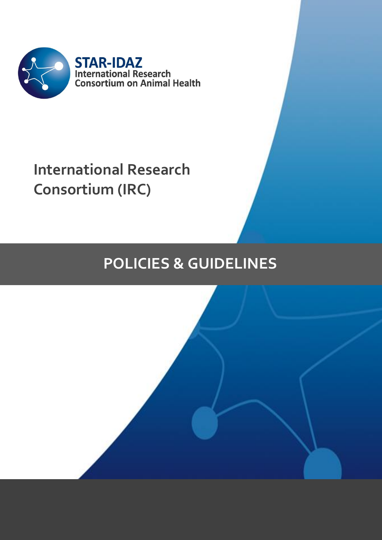

# **International Research Consortium (IRC)**

# **POLICIES & GUIDELINES**

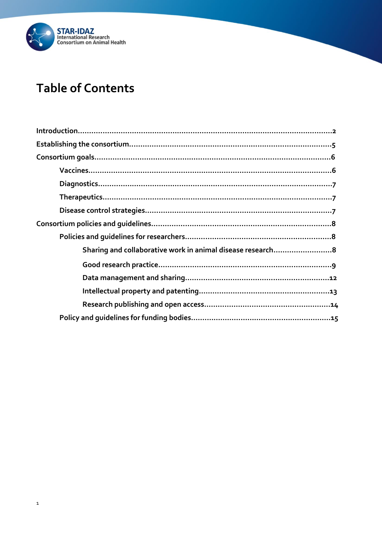

## **Table of Contents**

| Sharing and collaborative work in animal disease research8 |
|------------------------------------------------------------|
|                                                            |
|                                                            |
|                                                            |
|                                                            |
|                                                            |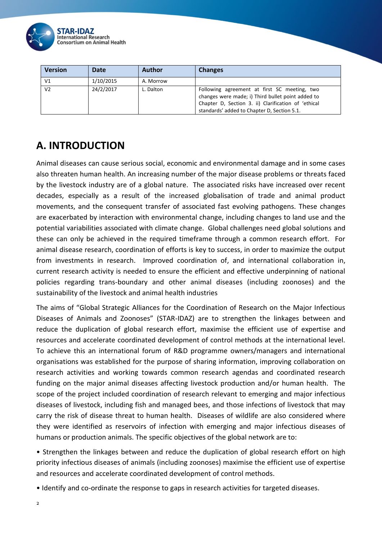

| <b>Version</b> | Date      | <b>Author</b> | <b>Changes</b>                                                                                                                                                                                          |
|----------------|-----------|---------------|---------------------------------------------------------------------------------------------------------------------------------------------------------------------------------------------------------|
| V1             | 1/10/2015 | A. Morrow     |                                                                                                                                                                                                         |
| V <sub>2</sub> | 24/2/2017 | L. Dalton     | Following agreement at first SC meeting, two<br>changes were made; i) Third bullet point added to<br>Chapter D, Section 3. ii) Clarification of 'ethical<br>standards' added to Chapter D, Section 5.1. |

## **A. INTRODUCTION**

Animal diseases can cause serious social, economic and environmental damage and in some cases also threaten human health. An increasing number of the major disease problems or threats faced by the livestock industry are of a global nature. The associated risks have increased over recent decades, especially as a result of the increased globalisation of trade and animal product movements, and the consequent transfer of associated fast evolving pathogens. These changes are exacerbated by interaction with environmental change, including changes to land use and the potential variabilities associated with climate change. Global challenges need global solutions and these can only be achieved in the required timeframe through a common research effort. For animal disease research, coordination of efforts is key to success, in order to maximize the output from investments in research. Improved coordination of, and international collaboration in, current research activity is needed to ensure the efficient and effective underpinning of national policies regarding trans-boundary and other animal diseases (including zoonoses) and the sustainability of the livestock and animal health industries

The aims of "Global Strategic Alliances for the Coordination of Research on the Major Infectious Diseases of Animals and Zoonoses" (STAR-IDAZ) are to strengthen the linkages between and reduce the duplication of global research effort, maximise the efficient use of expertise and resources and accelerate coordinated development of control methods at the international level. To achieve this an international forum of R&D programme owners/managers and international organisations was established for the purpose of sharing information, improving collaboration on research activities and working towards common research agendas and coordinated research funding on the major animal diseases affecting livestock production and/or human health. The scope of the project included coordination of research relevant to emerging and major infectious diseases of livestock, including fish and managed bees, and those infections of livestock that may carry the risk of disease threat to human health. Diseases of wildlife are also considered where they were identified as reservoirs of infection with emerging and major infectious diseases of humans or production animals. The specific objectives of the global network are to:

• Strengthen the linkages between and reduce the duplication of global research effort on high priority infectious diseases of animals (including zoonoses) maximise the efficient use of expertise and resources and accelerate coordinated development of control methods.

• Identify and co-ordinate the response to gaps in research activities for targeted diseases.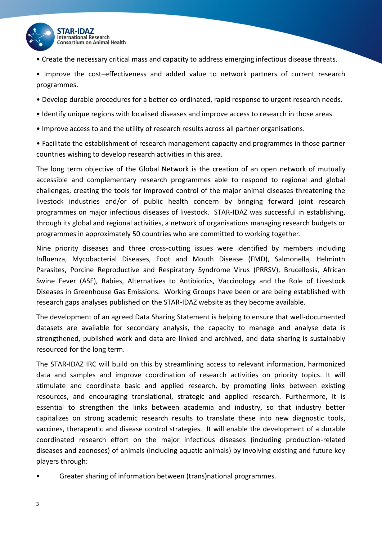

• Create the necessary critical mass and capacity to address emerging infectious disease threats.

• Improve the cost–effectiveness and added value to network partners of current research programmes.

- Develop durable procedures for a better co-ordinated, rapid response to urgent research needs.
- Identify unique regions with localised diseases and improve access to research in those areas.
- Improve access to and the utility of research results across all partner organisations.

• Facilitate the establishment of research management capacity and programmes in those partner countries wishing to develop research activities in this area.

The long term objective of the Global Network is the creation of an open network of mutually accessible and complementary research programmes able to respond to regional and global challenges, creating the tools for improved control of the major animal diseases threatening the livestock industries and/or of public health concern by bringing forward joint research programmes on major infectious diseases of livestock. STAR-IDAZ was successful in establishing, through its global and regional activities, a network of organisations managing research budgets or programmes in approximately 50 countries who are committed to working together.

Nine priority diseases and three cross-cutting issues were identified by members including Influenza, Mycobacterial Diseases, Foot and Mouth Disease (FMD), Salmonella, Helminth Parasites, Porcine Reproductive and Respiratory Syndrome Virus (PRRSV), Brucellosis, African Swine Fever (ASF), Rabies, Alternatives to Antibiotics, Vaccinology and the Role of Livestock Diseases in Greenhouse Gas Emissions. Working Groups have been or are being established with research gaps analyses published on the STAR-IDAZ website as they become available.

The development of an agreed Data Sharing Statement is helping to ensure that well-documented datasets are available for secondary analysis, the capacity to manage and analyse data is strengthened, published work and data are linked and archived, and data sharing is sustainably resourced for the long term.

The STAR-IDAZ IRC will build on this by streamlining access to relevant information, harmonized data and samples and improve coordination of research activities on priority topics. It will stimulate and coordinate basic and applied research, by promoting links between existing resources, and encouraging translational, strategic and applied research. Furthermore, it is essential to strengthen the links between academia and industry, so that industry better capitalizes on strong academic research results to translate these into new diagnostic tools, vaccines, therapeutic and disease control strategies. It will enable the development of a durable coordinated research effort on the major infectious diseases (including production-related diseases and zoonoses) of animals (including aquatic animals) by involving existing and future key players through:

• Greater sharing of information between (trans)national programmes.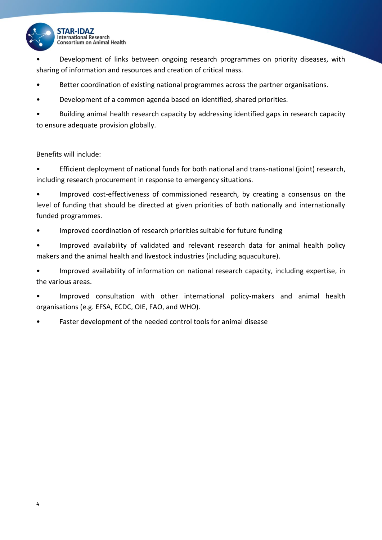

• Development of links between ongoing research programmes on priority diseases, with sharing of information and resources and creation of critical mass.

- Better coordination of existing national programmes across the partner organisations.
- Development of a common agenda based on identified, shared priorities.

• Building animal health research capacity by addressing identified gaps in research capacity to ensure adequate provision globally.

Benefits will include:

• Efficient deployment of national funds for both national and trans-national (joint) research, including research procurement in response to emergency situations.

• Improved cost-effectiveness of commissioned research, by creating a consensus on the level of funding that should be directed at given priorities of both nationally and internationally funded programmes.

• Improved coordination of research priorities suitable for future funding

• Improved availability of validated and relevant research data for animal health policy makers and the animal health and livestock industries (including aquaculture).

• Improved availability of information on national research capacity, including expertise, in the various areas.

• Improved consultation with other international policy-makers and animal health organisations (e.g. EFSA, ECDC, OIE, FAO, and WHO).

• Faster development of the needed control tools for animal disease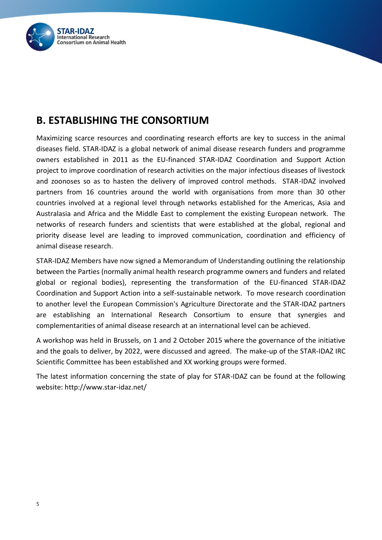

## **B. ESTABLISHING THE CONSORTIUM**

Maximizing scarce resources and coordinating research efforts are key to success in the animal diseases field. STAR-IDAZ is a global network of animal disease research funders and programme owners established in 2011 as the EU-financed STAR-IDAZ Coordination and Support Action project to improve coordination of research activities on the major infectious diseases of livestock and zoonoses so as to hasten the delivery of improved control methods. STAR-IDAZ involved partners from 16 countries around the world with organisations from more than 30 other countries involved at a regional level through networks established for the Americas, Asia and Australasia and Africa and the Middle East to complement the existing European network. The networks of research funders and scientists that were established at the global, regional and priority disease level are leading to improved communication, coordination and efficiency of animal disease research.

STAR-IDAZ Members have now signed a Memorandum of Understanding outlining the relationship between the Parties (normally animal health research programme owners and funders and related global or regional bodies), representing the transformation of the EU-financed STAR-IDAZ Coordination and Support Action into a self-sustainable network. To move research coordination to another level the European Commission's Agriculture Directorate and the STAR-IDAZ partners are establishing an International Research Consortium to ensure that synergies and complementarities of animal disease research at an international level can be achieved.

A workshop was held in Brussels, on 1 and 2 October 2015 where the governance of the initiative and the goals to deliver, by 2022, were discussed and agreed. The make-up of the STAR-IDAZ IRC Scientific Committee has been established and XX working groups were formed.

The latest information concerning the state of play for STAR-IDAZ can be found at the following website: http://www.star-idaz.net/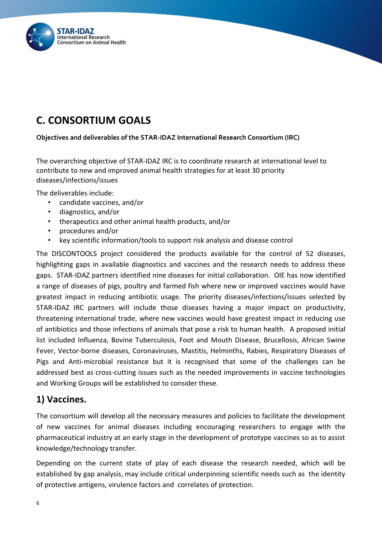

## **C. CONSORTIUM GOALS**

**Objectives and deliverables of the STAR-IDAZ International Research Consortium (IRC)**

The overarching objective of STAR-IDAZ IRC is to coordinate research at international level to contribute to new and improved animal health strategies for at least 30 priority diseases/infections/issues

The deliverables include:

- candidate vaccines, and/or
- diagnostics, and/or
- therapeutics and other animal health products, and/or
- procedures and/or
- key scientific information/tools to support risk analysis and disease control

The DISCONTOOLS project considered the products available for the control of 52 diseases, highlighting gaps in available diagnostics and vaccines and the research needs to address these gaps. STAR-IDAZ partners identified nine diseases for initial collaboration. OIE has now identified a range of diseases of pigs, poultry and farmed fish where new or improved vaccines would have greatest impact in reducing antibiotic usage. The priority diseases/infections/issues selected by STAR-IDAZ IRC partners will include those diseases having a major impact on productivity, threatening international trade, where new vaccines would have greatest impact in reducing use of antibiotics and those infections of animals that pose a risk to human health. A proposed initial list included Influenza, Bovine Tuberculosis, Foot and Mouth Disease, Brucellosis, African Swine Fever, Vector-borne diseases, Coronaviruses, Mastitis, Helminths, Rabies, Respiratory Diseases of Pigs and Anti-microbial resistance but it is recognised that some of the challenges can be addressed best as cross-cutting issues such as the needed improvements in vaccine technologies and Working Groups will be established to consider these.

## **1) Vaccines.**

The consortium will develop all the necessary measures and policies to facilitate the development of new vaccines for animal diseases including encouraging researchers to engage with the pharmaceutical industry at an early stage in the development of prototype vaccines so as to assist knowledge/technology transfer.

Depending on the current state of play of each disease the research needed, which will be established by gap analysis, may include critical underpinning scientific needs such as the identity of protective antigens, virulence factors and correlates of protection.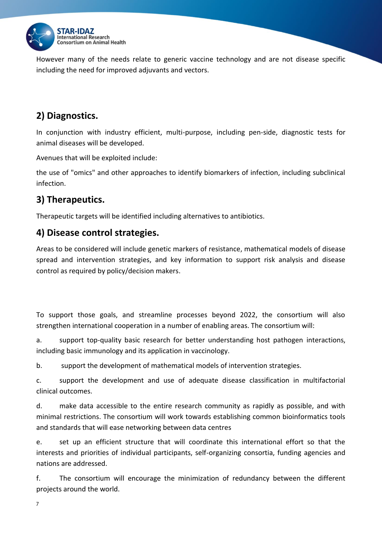

However many of the needs relate to generic vaccine technology and are not disease specific including the need for improved adjuvants and vectors.

## **2) Diagnostics.**

In conjunction with industry efficient, multi-purpose, including pen-side, diagnostic tests for animal diseases will be developed.

Avenues that will be exploited include:

the use of "omics" and other approaches to identify biomarkers of infection, including subclinical infection.

## **3) Therapeutics.**

Therapeutic targets will be identified including alternatives to antibiotics.

## **4) Disease control strategies.**

Areas to be considered will include genetic markers of resistance, mathematical models of disease spread and intervention strategies, and key information to support risk analysis and disease control as required by policy/decision makers.

To support those goals, and streamline processes beyond 2022, the consortium will also strengthen international cooperation in a number of enabling areas. The consortium will:

a. support top-quality basic research for better understanding host pathogen interactions, including basic immunology and its application in vaccinology.

b. support the development of mathematical models of intervention strategies.

c. support the development and use of adequate disease classification in multifactorial clinical outcomes.

d. make data accessible to the entire research community as rapidly as possible, and with minimal restrictions. The consortium will work towards establishing common bioinformatics tools and standards that will ease networking between data centres

e. set up an efficient structure that will coordinate this international effort so that the interests and priorities of individual participants, self-organizing consortia, funding agencies and nations are addressed.

f. The consortium will encourage the minimization of redundancy between the different projects around the world.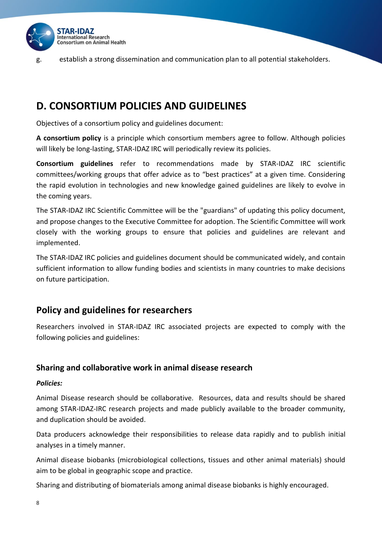

g. establish a strong dissemination and communication plan to all potential stakeholders.

## **D. CONSORTIUM POLICIES AND GUIDELINES**

Objectives of a consortium policy and guidelines document:

**A consortium policy** is a principle which consortium members agree to follow. Although policies will likely be long-lasting, STAR-IDAZ IRC will periodically review its policies.

**Consortium guidelines** refer to recommendations made by STAR-IDAZ IRC scientific committees/working groups that offer advice as to "best practices" at a given time. Considering the rapid evolution in technologies and new knowledge gained guidelines are likely to evolve in the coming years.

The STAR-IDAZ IRC Scientific Committee will be the "guardians" of updating this policy document, and propose changes to the Executive Committee for adoption. The Scientific Committee will work closely with the working groups to ensure that policies and guidelines are relevant and implemented.

The STAR-IDAZ IRC policies and guidelines document should be communicated widely, and contain sufficient information to allow funding bodies and scientists in many countries to make decisions on future participation.

## **Policy and guidelines for researchers**

Researchers involved in STAR-IDAZ IRC associated projects are expected to comply with the following policies and guidelines:

#### **Sharing and collaborative work in animal disease research**

#### *Policies:*

Animal Disease research should be collaborative. Resources, data and results should be shared among STAR-IDAZ-IRC research projects and made publicly available to the broader community, and duplication should be avoided.

Data producers acknowledge their responsibilities to release data rapidly and to publish initial analyses in a timely manner.

Animal disease biobanks (microbiological collections, tissues and other animal materials) should aim to be global in geographic scope and practice.

Sharing and distributing of biomaterials among animal disease biobanks is highly encouraged.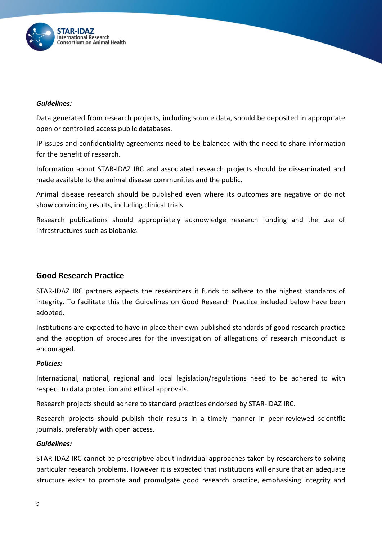

#### *Guidelines:*

Data generated from research projects, including source data, should be deposited in appropriate open or controlled access public databases.

IP issues and confidentiality agreements need to be balanced with the need to share information for the benefit of research.

Information about STAR-IDAZ IRC and associated research projects should be disseminated and made available to the animal disease communities and the public.

Animal disease research should be published even where its outcomes are negative or do not show convincing results, including clinical trials.

Research publications should appropriately acknowledge research funding and the use of infrastructures such as biobanks.

### **Good Research Practice**

STAR-IDAZ IRC partners expects the researchers it funds to adhere to the highest standards of integrity. To facilitate this the Guidelines on Good Research Practice included below have been adopted.

Institutions are expected to have in place their own published standards of good research practice and the adoption of procedures for the investigation of allegations of research misconduct is encouraged.

#### *Policies:*

International, national, regional and local legislation/regulations need to be adhered to with respect to data protection and ethical approvals.

Research projects should adhere to standard practices endorsed by STAR-IDAZ IRC.

Research projects should publish their results in a timely manner in peer-reviewed scientific journals, preferably with open access.

#### *Guidelines:*

STAR-IDAZ IRC cannot be prescriptive about individual approaches taken by researchers to solving particular research problems. However it is expected that institutions will ensure that an adequate structure exists to promote and promulgate good research practice, emphasising integrity and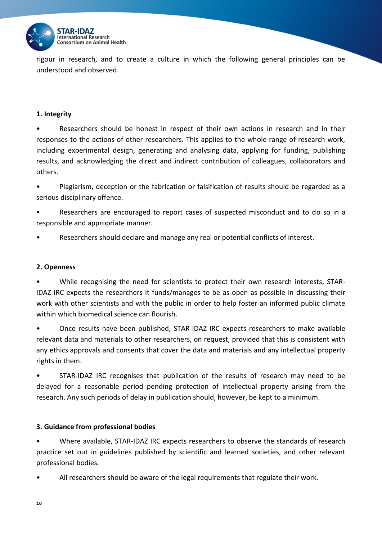

rigour in research, and to create a culture in which the following general principles can be understood and observed.

#### **1. Integrity**

• Researchers should be honest in respect of their own actions in research and in their responses to the actions of other researchers. This applies to the whole range of research work, including experimental design, generating and analysing data, applying for funding, publishing results, and acknowledging the direct and indirect contribution of colleagues, collaborators and others.

• Plagiarism, deception or the fabrication or falsification of results should be regarded as a serious disciplinary offence.

• Researchers are encouraged to report cases of suspected misconduct and to do so in a responsible and appropriate manner.

Researchers should declare and manage any real or potential conflicts of interest.

#### **2. Openness**

• While recognising the need for scientists to protect their own research interests, STAR-IDAZ IRC expects the researchers it funds/manages to be as open as possible in discussing their work with other scientists and with the public in order to help foster an informed public climate within which biomedical science can flourish.

• Once results have been published, STAR-IDAZ IRC expects researchers to make available relevant data and materials to other researchers, on request, provided that this is consistent with any ethics approvals and consents that cover the data and materials and any intellectual property rights in them.

• STAR-IDAZ IRC recognises that publication of the results of research may need to be delayed for a reasonable period pending protection of intellectual property arising from the research. Any such periods of delay in publication should, however, be kept to a minimum.

#### **3. Guidance from professional bodies**

• Where available, STAR-IDAZ IRC expects researchers to observe the standards of research practice set out in guidelines published by scientific and learned societies, and other relevant professional bodies.

All researchers should be aware of the legal requirements that regulate their work.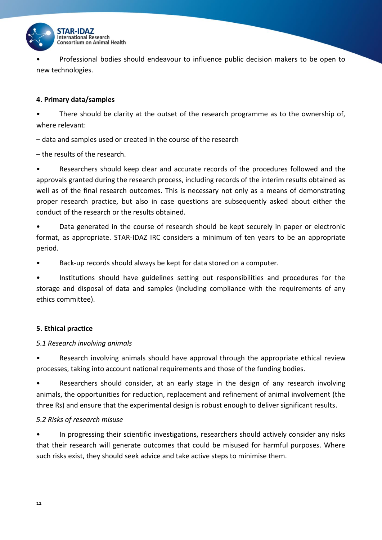

• Professional bodies should endeavour to influence public decision makers to be open to new technologies.

#### **4. Primary data/samples**

• There should be clarity at the outset of the research programme as to the ownership of, where relevant:

– data and samples used or created in the course of the research

– the results of the research.

• Researchers should keep clear and accurate records of the procedures followed and the approvals granted during the research process, including records of the interim results obtained as well as of the final research outcomes. This is necessary not only as a means of demonstrating proper research practice, but also in case questions are subsequently asked about either the conduct of the research or the results obtained.

• Data generated in the course of research should be kept securely in paper or electronic format, as appropriate. STAR-IDAZ IRC considers a minimum of ten years to be an appropriate period.

Back-up records should always be kept for data stored on a computer.

• Institutions should have guidelines setting out responsibilities and procedures for the storage and disposal of data and samples (including compliance with the requirements of any ethics committee).

#### **5. Ethical practice**

#### *5.1 Research involving animals*

• Research involving animals should have approval through the appropriate ethical review processes, taking into account national requirements and those of the funding bodies.

• Researchers should consider, at an early stage in the design of any research involving animals, the opportunities for reduction, replacement and refinement of animal involvement (the three Rs) and ensure that the experimental design is robust enough to deliver significant results.

#### *5.2 Risks of research misuse*

In progressing their scientific investigations, researchers should actively consider any risks that their research will generate outcomes that could be misused for harmful purposes. Where such risks exist, they should seek advice and take active steps to minimise them.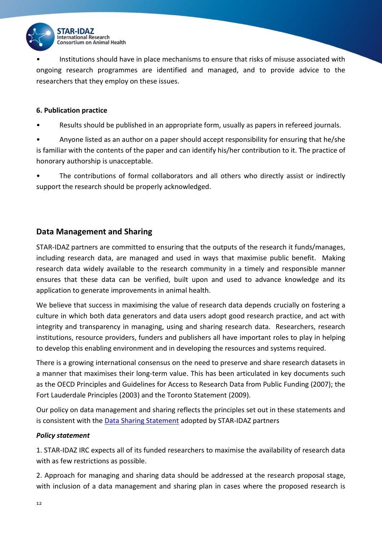

• Institutions should have in place mechanisms to ensure that risks of misuse associated with ongoing research programmes are identified and managed, and to provide advice to the researchers that they employ on these issues.

#### **6. Publication practice**

Results should be published in an appropriate form, usually as papers in refereed journals.

• Anyone listed as an author on a paper should accept responsibility for ensuring that he/she is familiar with the contents of the paper and can identify his/her contribution to it. The practice of honorary authorship is unacceptable.

The contributions of formal collaborators and all others who directly assist or indirectly support the research should be properly acknowledged.

#### **Data Management and Sharing**

STAR-IDAZ partners are committed to ensuring that the outputs of the research it funds/manages, including research data, are managed and used in ways that maximise public benefit. Making research data widely available to the research community in a timely and responsible manner ensures that these data can be verified, built upon and used to advance knowledge and its application to generate improvements in animal health.

We believe that success in maximising the value of research data depends crucially on fostering a culture in which both data generators and data users adopt good research practice, and act with integrity and transparency in managing, using and sharing research data. Researchers, research institutions, resource providers, funders and publishers all have important roles to play in helping to develop this enabling environment and in developing the resources and systems required.

There is a growing international consensus on the need to preserve and share research datasets in a manner that maximises their long-term value. This has been articulated in key documents such as the OECD Principles and Guidelines for Access to Research Data from Public Funding (2007); the Fort Lauderdale Principles (2003) and the Toronto Statement (2009).

Our policy on data management and sharing reflects the principles set out in these statements and is consistent with the [Data Sharing Statement](http://www.star-idaz.net/wp-content/uploads/2016/12/STAR-IDAZ-Data-Sharing-statement-V5.pdf) adopted by STAR-IDAZ partners

#### *Policy statement*

1. STAR-IDAZ IRC expects all of its funded researchers to maximise the availability of research data with as few restrictions as possible.

2. Approach for managing and sharing data should be addressed at the research proposal stage, with inclusion of a data management and sharing plan in cases where the proposed research is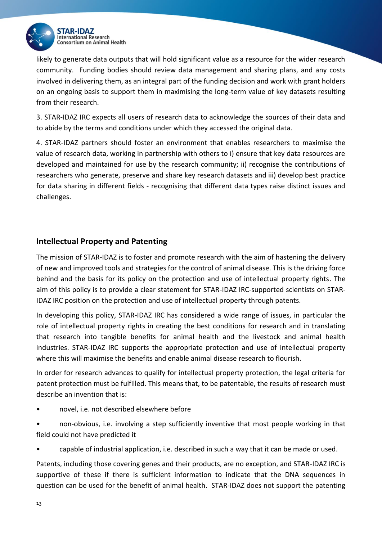

likely to generate data outputs that will hold significant value as a resource for the wider research community. Funding bodies should review data management and sharing plans, and any costs involved in delivering them, as an integral part of the funding decision and work with grant holders on an ongoing basis to support them in maximising the long-term value of key datasets resulting from their research.

3. STAR-IDAZ IRC expects all users of research data to acknowledge the sources of their data and to abide by the terms and conditions under which they accessed the original data.

4. STAR-IDAZ partners should foster an environment that enables researchers to maximise the value of research data, working in partnership with others to i) ensure that key data resources are developed and maintained for use by the research community; ii) recognise the contributions of researchers who generate, preserve and share key research datasets and iii) develop best practice for data sharing in different fields - recognising that different data types raise distinct issues and challenges.

#### **Intellectual Property and Patenting**

The mission of STAR-IDAZ is to foster and promote research with the aim of hastening the delivery of new and improved tools and strategies for the control of animal disease. This is the driving force behind and the basis for its policy on the protection and use of intellectual property rights. The aim of this policy is to provide a clear statement for STAR-IDAZ IRC-supported scientists on STAR-IDAZ IRC position on the protection and use of intellectual property through patents.

In developing this policy, STAR-IDAZ IRC has considered a wide range of issues, in particular the role of intellectual property rights in creating the best conditions for research and in translating that research into tangible benefits for animal health and the livestock and animal health industries. STAR-IDAZ IRC supports the appropriate protection and use of intellectual property where this will maximise the benefits and enable animal disease research to flourish.

In order for research advances to qualify for intellectual property protection, the legal criteria for patent protection must be fulfilled. This means that, to be patentable, the results of research must describe an invention that is:

- novel, i.e. not described elsewhere before
- non-obvious, i.e. involving a step sufficiently inventive that most people working in that field could not have predicted it
- capable of industrial application, i.e. described in such a way that it can be made or used.

Patents, including those covering genes and their products, are no exception, and STAR-IDAZ IRC is supportive of these if there is sufficient information to indicate that the DNA sequences in question can be used for the benefit of animal health. STAR-IDAZ does not support the patenting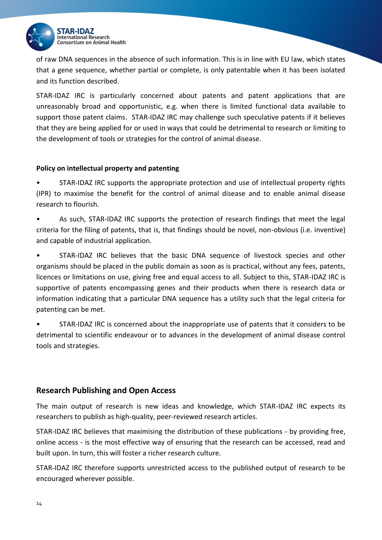

of raw DNA sequences in the absence of such information. This is in line with EU law, which states that a gene sequence, whether partial or complete, is only patentable when it has been isolated and its function described.

STAR-IDAZ IRC is particularly concerned about patents and patent applications that are unreasonably broad and opportunistic, e.g. when there is limited functional data available to support those patent claims. STAR-IDAZ IRC may challenge such speculative patents if it believes that they are being applied for or used in ways that could be detrimental to research or limiting to the development of tools or strategies for the control of animal disease.

#### **Policy on intellectual property and patenting**

• STAR-IDAZ IRC supports the appropriate protection and use of intellectual property rights (IPR) to maximise the benefit for the control of animal disease and to enable animal disease research to flourish.

• As such, STAR-IDAZ IRC supports the protection of research findings that meet the legal criteria for the filing of patents, that is, that findings should be novel, non-obvious (i.e. inventive) and capable of industrial application.

• STAR-IDAZ IRC believes that the basic DNA sequence of livestock species and other organisms should be placed in the public domain as soon as is practical, without any fees, patents, licences or limitations on use, giving free and equal access to all. Subject to this, STAR-IDAZ IRC is supportive of patents encompassing genes and their products when there is research data or information indicating that a particular DNA sequence has a utility such that the legal criteria for patenting can be met.

• STAR-IDAZ IRC is concerned about the inappropriate use of patents that it considers to be detrimental to scientific endeavour or to advances in the development of animal disease control tools and strategies.

#### **Research Publishing and Open Access**

The main output of research is new ideas and knowledge, which STAR-IDAZ IRC expects its researchers to publish as high-quality, peer-reviewed research articles.

STAR-IDAZ IRC believes that maximising the distribution of these publications - by providing free, online access - is the most effective way of ensuring that the research can be accessed, read and built upon. In turn, this will foster a richer research culture.

STAR-IDAZ IRC therefore supports unrestricted access to the published output of research to be encouraged wherever possible.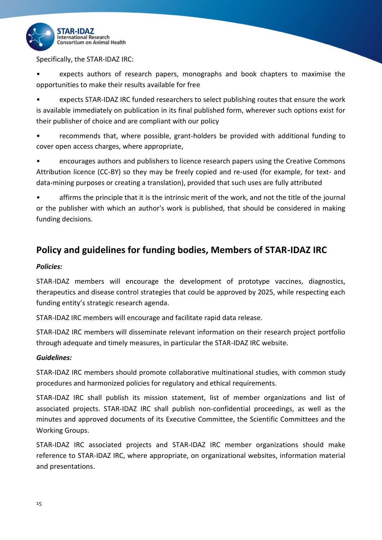

Specifically, the STAR-IDAZ IRC:

• expects authors of research papers, monographs and book chapters to maximise the opportunities to make their results available for free

• expects STAR-IDAZ IRC funded researchers to select publishing routes that ensure the work is available immediately on publication in its final published form, wherever such options exist for their publisher of choice and are compliant with our policy

• recommends that, where possible, grant-holders be provided with additional funding to cover open access charges, where appropriate,

• encourages authors and publishers to licence research papers using the Creative Commons Attribution licence (CC-BY) so they may be freely copied and re-used (for example, for text- and data-mining purposes or creating a translation), provided that such uses are fully attributed

affirms the principle that it is the intrinsic merit of the work, and not the title of the journal or the publisher with which an author's work is published, that should be considered in making funding decisions.

## **Policy and guidelines for funding bodies, Members of STAR-IDAZ IRC**

#### *Policies:*

STAR-IDAZ members will encourage the development of prototype vaccines, diagnostics, therapeutics and disease control strategies that could be approved by 2025, while respecting each funding entity's strategic research agenda.

STAR-IDAZ IRC members will encourage and facilitate rapid data release.

STAR-IDAZ IRC members will disseminate relevant information on their research project portfolio through adequate and timely measures, in particular the STAR-IDAZ IRC website.

#### *Guidelines:*

STAR-IDAZ IRC members should promote collaborative multinational studies, with common study procedures and harmonized policies for regulatory and ethical requirements.

STAR-IDAZ IRC shall publish its mission statement, list of member organizations and list of associated projects. STAR-IDAZ IRC shall publish non-confidential proceedings, as well as the minutes and approved documents of its Executive Committee, the Scientific Committees and the Working Groups.

STAR-IDAZ IRC associated projects and STAR-IDAZ IRC member organizations should make reference to STAR-IDAZ IRC, where appropriate, on organizational websites, information material and presentations.